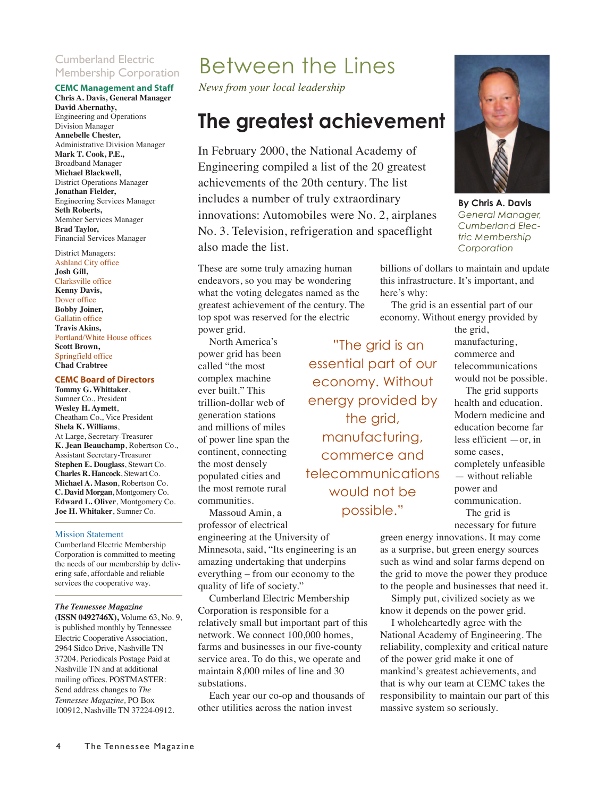#### Cumberland Electric Membership Corporation

#### **CEMC Management and Staff**

**Chris A. Davis, General Manager David Abernathy,** Engineering and Operations Division Manager **Annebelle Chester,** Administrative Division Manager **Mark T. Cook, P.E.,** Broadband Manager **Michael Blackwell,** District Operations Manager **Jonathan Fielder,**  Engineering Services Manager **Seth Roberts,** Member Services Manager **Brad Taylor,**  Financial Services Manager

#### District Managers:

Ashland City office **Josh Gill,** Clarksville office **Kenny Davis,**  Dover office **Bobby Joiner,**  Gallatin office **Travis Akins,** Portland/White House offices **Scott Brown,**  Springfield office **Chad Crabtree**

#### **CEMC Board of Directors**

**Tommy G. Whittaker**, Sumner Co., President **Wesley H. Aymett**, Cheatham Co., Vice President **Shela K. Williams**, At Large, Secretary-Treasurer **K. Jean Beauchamp**, Robertson Co., Assistant Secretary-Treasurer **Stephen E. Douglass**, Stewart Co. **Charles R. Hancock**, Stewart Co. **Michael A. Mason**, Robertson Co. **C. David Morgan**, Montgomery Co. **Edward L. Oliver**, Montgomery Co. **Joe H. Whitaker**, Sumner Co.

#### Mission Statement

Cumberland Electric Membership Corporation is committed to meeting the needs of our membership by delivering safe, affordable and reliable services the cooperative way.

#### *The Tennessee Magazine*

**(ISSN 0492746X),** Volume 63, No. 9, is published monthly by Tennessee Electric Cooperative Association, 2964 Sidco Drive, Nashville TN 37204. Periodicals Postage Paid at Nashville TN and at additional mailing offices. POSTMASTER: Send address changes to *The Tennessee Magazine,* PO Box 100912, Nashville TN 37224-0912.

## Between the Lines

*News from your local leadership*

### **The greatest achievement**

In February 2000, the National Academy of Engineering compiled a list of the 20 greatest achievements of the 20th century. The list includes a number of truly extraordinary innovations: Automobiles were No. 2, airplanes No. 3. Television, refrigeration and spaceflight also made the list.

These are some truly amazing human endeavors, so you may be wondering what the voting delegates named as the greatest achievement of the century. The top spot was reserved for the electric power grid.

North America's power grid has been called "the most complex machine ever built." This trillion-dollar web of generation stations and millions of miles of power line span the continent, connecting the most densely populated cities and the most remote rural communities.

Massoud Amin, a professor of electrical

engineering at the University of Minnesota, said, "Its engineering is an amazing undertaking that underpins everything – from our economy to the quality of life of society."

Cumberland Electric Membership Corporation is responsible for a relatively small but important part of this network. We connect 100,000 homes, farms and businesses in our five-county service area. To do this, we operate and maintain 8,000 miles of line and 30 substations.

Each year our co-op and thousands of other utilities across the nation invest

"The grid is an essential part of our economy. Without energy provided by the grid, manufacturing, commerce and telecommunications would not be possible."



**By Chris A. Davis** *General Manager, Cumberland Electric Membership Corporation*

billions of dollars to maintain and update this infrastructure. It's important, and here's why:

The grid is an essential part of our economy. Without energy provided by

> the grid, manufacturing, commerce and telecommunications would not be possible.

The grid supports health and education. Modern medicine and education become far less efficient —or, in some cases, completely unfeasible — without reliable power and communication. The grid is

necessary for future green energy innovations. It may come as a surprise, but green energy sources such as wind and solar farms depend on the grid to move the power they produce to the people and businesses that need it.

Simply put, civilized society as we know it depends on the power grid.

I wholeheartedly agree with the National Academy of Engineering. The reliability, complexity and critical nature of the power grid make it one of mankind's greatest achievements, and that is why our team at CEMC takes the responsibility to maintain our part of this massive system so seriously.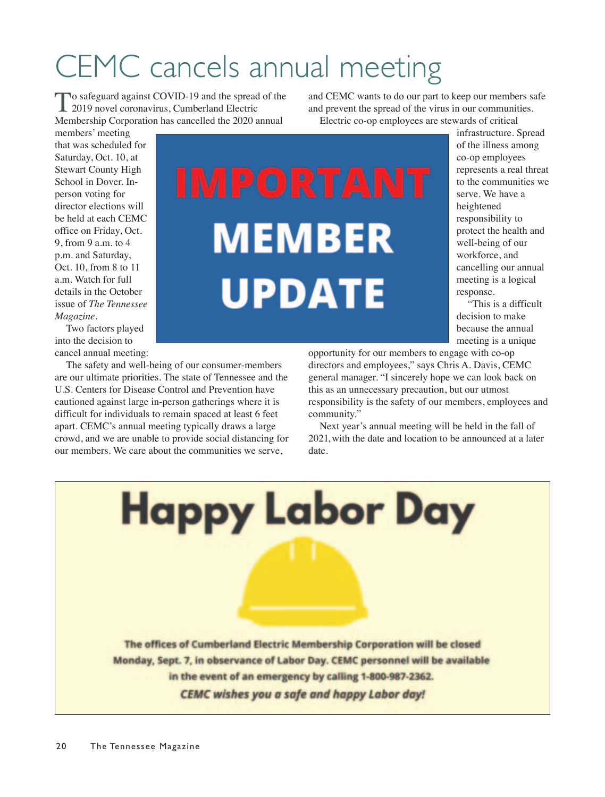## CEMC cancels annual meeting

To safeguard against COVID-19 and the spread of the<br>2019 novel coronavirus, Cumberland Electric Membership Corporation has cancelled the 2020 annual

members' meeting that was scheduled for Saturday, Oct. 10, at Stewart County High School in Dover. Inperson voting for director elections will be held at each CEMC office on Friday, Oct. 9, from 9 a.m. to 4 p.m. and Saturday, Oct. 10, from 8 to 11 a.m. Watch for full details in the October issue of *The Tennessee Magazine*.

Two factors played into the decision to cancel annual meeting:

The safety and well-being of our consumer-members are our ultimate priorities. The state of Tennessee and the U.S. Centers for Disease Control and Prevention have cautioned against large in-person gatherings where it is difficult for individuals to remain spaced at least 6 feet apart. CEMC's annual meeting typically draws a large crowd, and we are unable to provide social distancing for our members. We care about the communities we serve,

and CEMC wants to do our part to keep our members safe and prevent the spread of the virus in our communities. Electric co-op employees are stewards of critical

> infrastructure. Spread of the illness among co-op employees represents a real threat to the communities we serve. We have a heightened responsibility to protect the health and well-being of our workforce, and cancelling our annual meeting is a logical response.

"This is a difficult decision to make because the annual meeting is a unique

opportunity for our members to engage with co-op directors and employees," says Chris A. Davis, CEMC general manager. "I sincerely hope we can look back on this as an unnecessary precaution, but our utmost responsibility is the safety of our members, employees and community."

Next year's annual meeting will be held in the fall of 2021, with the date and location to be announced at a later date.

The offices of Cumberland Electric Membership Corporation will be closed Monday, Sept. 7, in observance of Labor Day. CEMC personnel will be available in the event of an emergency by calling 1-800-987-2362. **CEMC** wishes you a safe and happy Labor day!

**Happy Labor Day** 

**MEMBER** 

**UPDATE**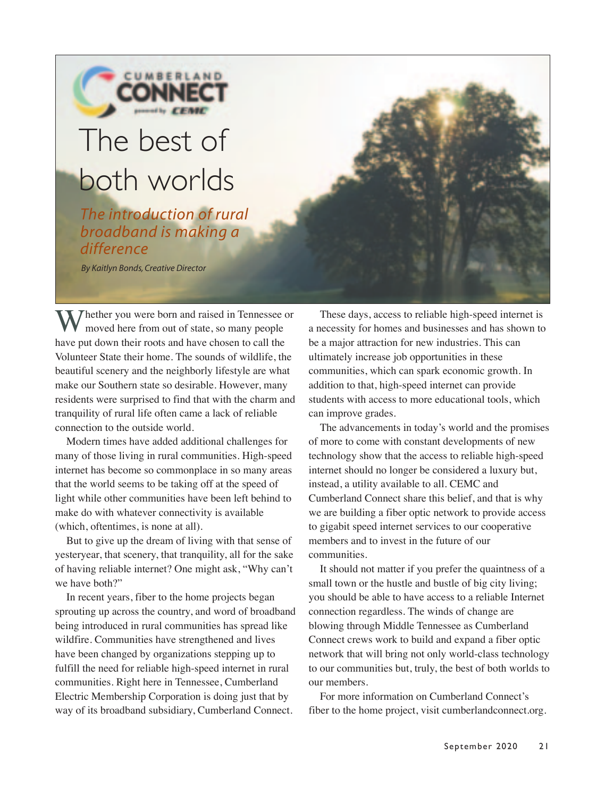# The best of

CUMBERLAND

## both worlds

*The introduction of rural broadband is making a difference*

*By Kaitlyn Bonds, Creative Director*

My Thether you were born and raised in Tennessee or moved here from out of state, so many people have put down their roots and have chosen to call the Volunteer State their home. The sounds of wildlife, the beautiful scenery and the neighborly lifestyle are what make our Southern state so desirable. However, many residents were surprised to find that with the charm and tranquility of rural life often came a lack of reliable connection to the outside world.

Modern times have added additional challenges for many of those living in rural communities. High-speed internet has become so commonplace in so many areas that the world seems to be taking off at the speed of light while other communities have been left behind to make do with whatever connectivity is available (which, oftentimes, is none at all).

But to give up the dream of living with that sense of yesteryear, that scenery, that tranquility, all for the sake of having reliable internet? One might ask, "Why can't we have both?"

In recent years, fiber to the home projects began sprouting up across the country, and word of broadband being introduced in rural communities has spread like wildfire. Communities have strengthened and lives have been changed by organizations stepping up to fulfill the need for reliable high-speed internet in rural communities. Right here in Tennessee, Cumberland Electric Membership Corporation is doing just that by way of its broadband subsidiary, Cumberland Connect.

These days, access to reliable high-speed internet is a necessity for homes and businesses and has shown to be a major attraction for new industries. This can ultimately increase job opportunities in these communities, which can spark economic growth. In addition to that, high-speed internet can provide students with access to more educational tools, which can improve grades.

The advancements in today's world and the promises of more to come with constant developments of new technology show that the access to reliable high-speed internet should no longer be considered a luxury but, instead, a utility available to all. CEMC and Cumberland Connect share this belief, and that is why we are building a fiber optic network to provide access to gigabit speed internet services to our cooperative members and to invest in the future of our communities.

It should not matter if you prefer the quaintness of a small town or the hustle and bustle of big city living; you should be able to have access to a reliable Internet connection regardless. The winds of change are blowing through Middle Tennessee as Cumberland Connect crews work to build and expand a fiber optic network that will bring not only world-class technology to our communities but, truly, the best of both worlds to our members.

For more information on Cumberland Connect's fiber to the home project, visit cumberlandconnect.org.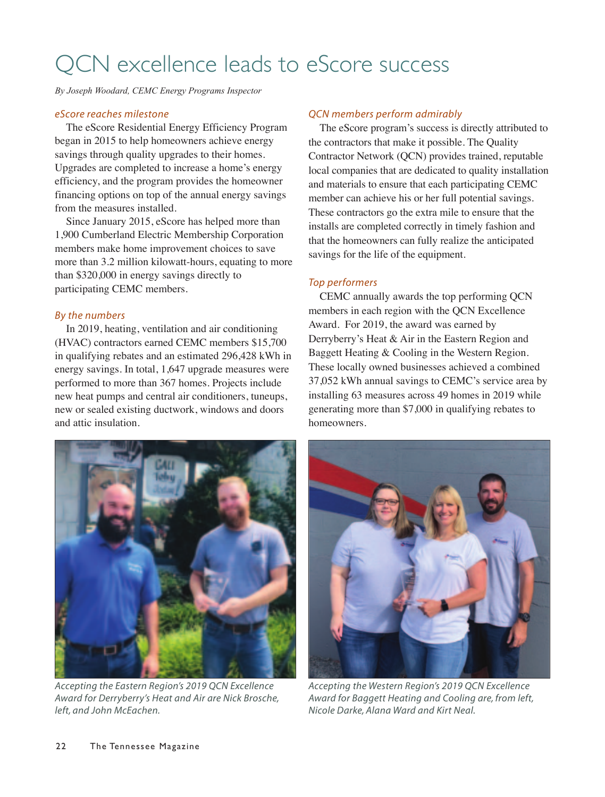## QCN excellence leads to eScore success

*By Joseph Woodard, CEMC Energy Programs Inspector*

#### *eScore reaches milestone*

The eScore Residential Energy Efficiency Program began in 2015 to help homeowners achieve energy savings through quality upgrades to their homes. Upgrades are completed to increase a home's energy efficiency, and the program provides the homeowner financing options on top of the annual energy savings from the measures installed.

Since January 2015, eScore has helped more than 1,900 Cumberland Electric Membership Corporation members make home improvement choices to save more than 3.2 million kilowatt-hours, equating to more than \$320,000 in energy savings directly to participating CEMC members.

#### *By the numbers*

In 2019, heating, ventilation and air conditioning (HVAC) contractors earned CEMC members \$15,700 in qualifying rebates and an estimated 296,428 kWh in energy savings. In total, 1,647 upgrade measures were performed to more than 367 homes. Projects include new heat pumps and central air conditioners, tuneups, new or sealed existing ductwork, windows and doors and attic insulation.

#### *QCN members perform admirably*

The eScore program's success is directly attributed to the contractors that make it possible. The Quality Contractor Network (QCN) provides trained, reputable local companies that are dedicated to quality installation and materials to ensure that each participating CEMC member can achieve his or her full potential savings. These contractors go the extra mile to ensure that the installs are completed correctly in timely fashion and that the homeowners can fully realize the anticipated savings for the life of the equipment.

#### *Top performers*

CEMC annually awards the top performing QCN members in each region with the QCN Excellence Award. For 2019, the award was earned by Derryberry's Heat & Air in the Eastern Region and Baggett Heating & Cooling in the Western Region. These locally owned businesses achieved a combined 37,052 kWh annual savings to CEMC's service area by installing 63 measures across 49 homes in 2019 while generating more than \$7,000 in qualifying rebates to homeowners.



*Accepting the Eastern Region's 2019 QCN Excellence Award for Derryberry's Heat and Air are Nick Brosche, left, and John McEachen.* 



*Accepting the Western Region's 2019 QCN Excellence Award for Baggett Heating and Cooling are, from left, Nicole Darke, Alana Ward and Kirt Neal.*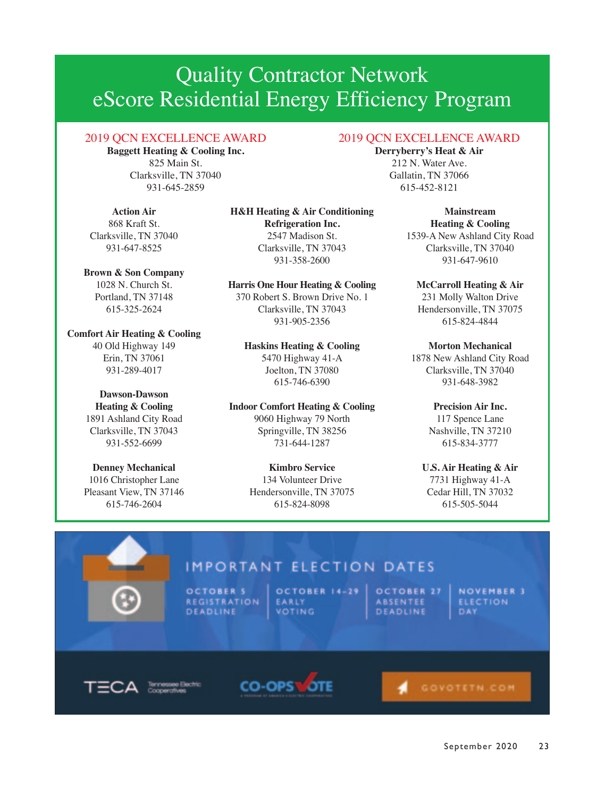## Quality Contractor Network eScore Residential Energy Efficiency Program

#### 2019 QCN EXCELLENCE AWARD

**Baggett Heating & Cooling Inc.**  825 Main St. Clarksville, TN 37040 931-645-2859

**Action Air** 868 Kraft St. Clarksville, TN 37040 931-647-8525

**Brown & Son Company** 1028 N. Church St. Portland, TN 37148 615-325-2624

**Comfort Air Heating & Cooling** 40 Old Highway 149 Erin, TN 37061 931-289-4017

#### **Dawson-Dawson**

**Heating & Cooling** 1891 Ashland City Road Clarksville, TN 37043 931-552-6699

**Denney Mechanical** 1016 Christopher Lane Pleasant View, TN 37146 615-746-2604

**H&H Heating & Air Conditioning Refrigeration Inc.** 2547 Madison St. Clarksville, TN 37043 931-358-2600

**Harris One Hour Heating & Cooling** 370 Robert S. Brown Drive No. 1

Clarksville, TN 37043 931-905-2356

#### **Haskins Heating & Cooling**

5470 Highway 41-A Joelton, TN 37080 615-746-6390

**Indoor Comfort Heating & Cooling**

9060 Highway 79 North Springville, TN 38256 731-644-1287

#### **Kimbro Service**

134 Volunteer Drive Hendersonville, TN 37075 615-824-8098

2019 QCN EXCELLENCE AWARD

**Derryberry's Heat & Air** 212 N. Water Ave. Gallatin, TN 37066 615-452-8121

> **Mainstream Heating & Cooling** 1539-A New Ashland City Road Clarksville, TN 37040 931-647-9610

#### **McCarroll Heating & Air**

231 Molly Walton Drive Hendersonville, TN 37075 615-824-4844

#### **Morton Mechanical**

1878 New Ashland City Road Clarksville, TN 37040 931-648-3982

#### **Precision Air Inc.**

117 Spence Lane Nashville, TN 37210 615-834-3777

**U.S. Air Heating & Air** 7731 Highway 41-A Cedar Hill, TN 37032 615-505-5044

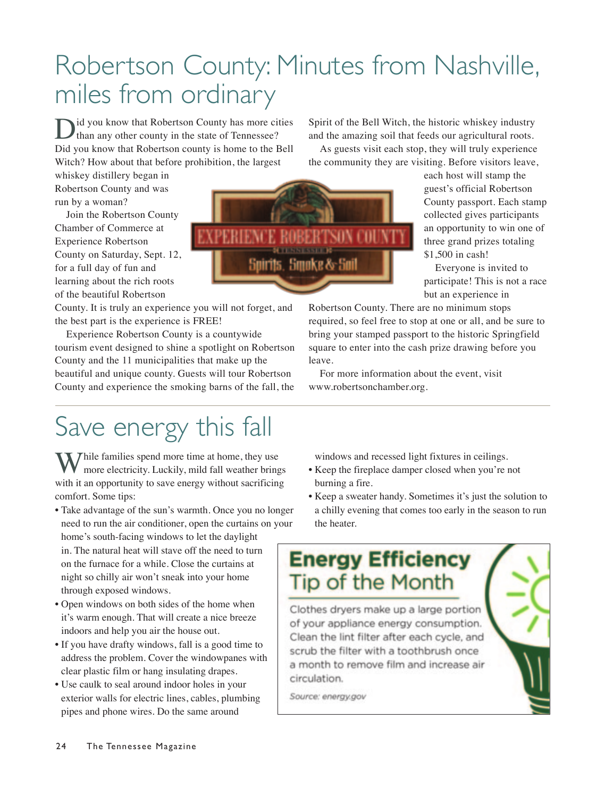## Robertson County: Minutes from Nashville, miles from ordinary

id you know that Robertson County has more cities than any other county in the state of Tennessee? Did you know that Robertson county is home to the Bell Witch? How about that before prohibition, the largest

whiskey distillery began in Robertson County and was run by a woman?

Join the Robertson County Chamber of Commerce at Experience Robertson County on Saturday, Sept. 12, for a full day of fun and learning about the rich roots of the beautiful Robertson

County. It is truly an experience you will not forget, and the best part is the experience is FREE!

Experience Robertson County is a countywide tourism event designed to shine a spotlight on Robertson County and the 11 municipalities that make up the beautiful and unique county. Guests will tour Robertson County and experience the smoking barns of the fall, the

Spirit of the Bell Witch, the historic whiskey industry and the amazing soil that feeds our agricultural roots.

As guests visit each stop, they will truly experience the community they are visiting. Before visitors leave,

each host will stamp the guest's official Robertson County passport. Each stamp collected gives participants an opportunity to win one of three grand prizes totaling \$1,500 in cash!

Everyone is invited to participate! This is not a race but an experience in

Robertson County. There are no minimum stops required, so feel free to stop at one or all, and be sure to bring your stamped passport to the historic Springfield square to enter into the cash prize drawing before you leave.

For more information about the event, visit www.robertsonchamber.org.

## Save energy this fall

While families spend more time at home, they use more electricity. Luckily, mild fall weather brings with it an opportunity to save energy without sacrificing comfort. Some tips:

• Take advantage of the sun's warmth. Once you no longer need to run the air conditioner, open the curtains on your home's south-facing windows to let the daylight in. The natural heat will stave off the need to turn on the furnace for a while. Close the curtains at night so chilly air won't sneak into your home through exposed windows.

- Open windows on both sides of the home when it's warm enough. That will create a nice breeze indoors and help you air the house out.
- If you have drafty windows, fall is a good time to address the problem. Cover the windowpanes with clear plastic film or hang insulating drapes.
- Use caulk to seal around indoor holes in your exterior walls for electric lines, cables, plumbing pipes and phone wires. Do the same around

windows and recessed light fixtures in ceilings.

- Keep the fireplace damper closed when you're not burning a fire.
- Keep a sweater handy. Sometimes it's just the solution to a chilly evening that comes too early in the season to run the heater.

### **Energy Efficiency Tip of the Month**

Clothes dryers make up a large portion of your appliance energy consumption. Clean the lint filter after each cycle, and scrub the filter with a toothbrush once a month to remove film and increase air circulation.

Source: energy.gov